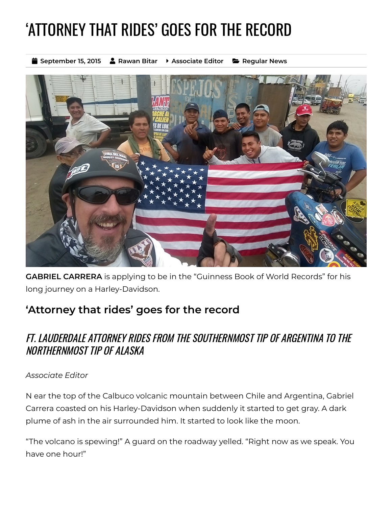## 'ATTORNEY THAT RIDES' GOES FOR THE RECORD

**September 15, 2015 Rawan Bitar Associate Editor [Regular](https://www.floridabar.org/news_article_section/regular-news/) News**



**GABRIEL CARRERA** is applying to be in the "Guinness Book of World Records" for his long journey on a Harley-Davidson.

## **'Attorney that rides' goes for the record**

## FT. LAUDERDALE ATTORNEY RIDES FROM THE SOUTHERNMOST TIP OF ARGENTINA TO THE NORTHERNMOST TIP OF ALASKA

## *Associate Editor*

N ear the top of the Calbuco volcanic mountain between Chile and Argentina, Gabriel Carrera coasted on his Harley-Davidson when suddenly it started to get gray. A dark plume of ash in the air surrounded him. It started to look like the moon.

"The volcano is spewing!" A guard on the roadway yelled. "Right now as we speak. You have one hour!"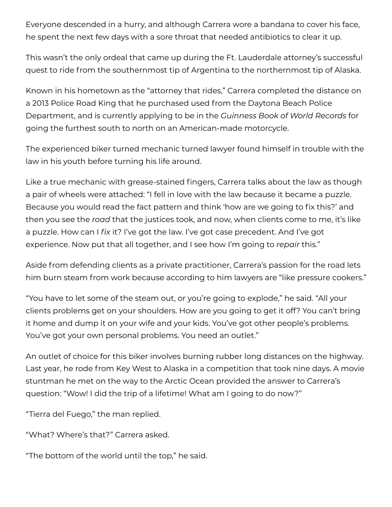Everyone descended in a hurry, and although Carrera wore a bandana to cover his face, he spent the next few days with a sore throat that needed antibiotics to clear it up.

This wasn't the only ordeal that came up during the Ft. Lauderdale attorney's successful quest to ride from the southernmost tip of Argentina to the northernmost tip of Alaska.

Known in his hometown as the "attorney that rides," Carrera completed the distance on a 2013 Police Road King that he purchased used from the Daytona Beach Police Department, and is currently applying to be in the *Guinness Book of World Records* for going the furthest south to north on an American-made motorcycle.

The experienced biker turned mechanic turned lawyer found himself in trouble with the law in his youth before turning his life around.

Like a true mechanic with grease-stained fingers, Carrera talks about the law as though a pair of wheels were attached: "I fell in love with the law because it became a puzzle. Because you would read the fact pattern and think 'how are we going to fix this?' and then you see the *road* that the justices took, and now, when clients come to me, it's like a puzzle. How can I *fix* it? I've got the law. I've got case precedent. And I've got experience. Now put that all together, and I see how I'm going to *repair* this."

Aside from defending clients as a private practitioner, Carrera's passion for the road lets him burn steam from work because according to him lawyers are "like pressure cookers."

"You have to let some of the steam out, or you're going to explode," he said. "All your clients problems get on your shoulders. How are you going to get it off? You can't bring it home and dump it on your wife and your kids. You've got other people's problems. You've got your own personal problems. You need an outlet."

An outlet of choice for this biker involves burning rubber long distances on the highway. Last year, he rode from Key West to Alaska in a competition that took nine days. A movie stuntman he met on the way to the Arctic Ocean provided the answer to Carrera's question: "Wow! I did the trip of a lifetime! What am I going to do now?"

"Tierra del Fuego," the man replied.

"What? Where's that?" Carrera asked.

"The bottom of the world until the top," he said.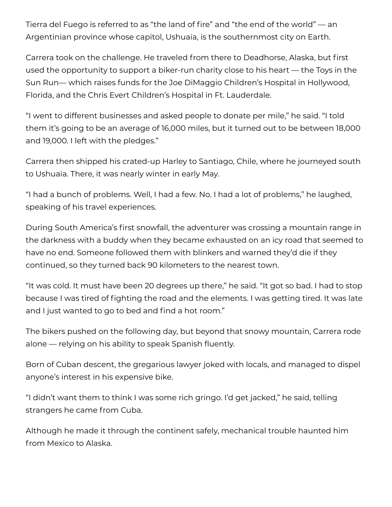Tierra del Fuego is referred to as "the land of fire" and "the end of the world" — an Argentinian province whose capitol, Ushuaia, is the southernmost city on Earth.

Carrera took on the challenge. He traveled from there to Deadhorse, Alaska, but first used the opportunity to support a biker-run charity close to his heart — the Toys in the Sun Run— which raises funds for the Joe DiMaggio Children's Hospital in Hollywood, Florida, and the Chris Evert Children's Hospital in Ft. Lauderdale.

"I went to different businesses and asked people to donate per mile," he said. "I told them it's going to be an average of 16,000 miles, but it turned out to be between 18,000 and 19,000. I left with the pledges."

Carrera then shipped his crated-up Harley to Santiago, Chile, where he journeyed south to Ushuaia. There, it was nearly winter in early May.

"I had a bunch of problems. Well, I had a few. No. I had a lot of problems," he laughed, speaking of his travel experiences.

During South America's first snowfall, the adventurer was crossing a mountain range in the darkness with a buddy when they became exhausted on an icy road that seemed to have no end. Someone followed them with blinkers and warned they'd die if they continued, so they turned back 90 kilometers to the nearest town.

"It was cold. It must have been 20 degrees up there," he said. "It got so bad. I had to stop because I was tired of fighting the road and the elements. I was getting tired. It was late and I just wanted to go to bed and find a hot room."

The bikers pushed on the following day, but beyond that snowy mountain, Carrera rode alone — relying on his ability to speak Spanish fluently.

Born of Cuban descent, the gregarious lawyer joked with locals, and managed to dispel anyone's interest in his expensive bike.

"I didn't want them to think I was some rich gringo. I'd get jacked," he said, telling strangers he came from Cuba.

Although he made it through the continent safely, mechanical trouble haunted him from Mexico to Alaska.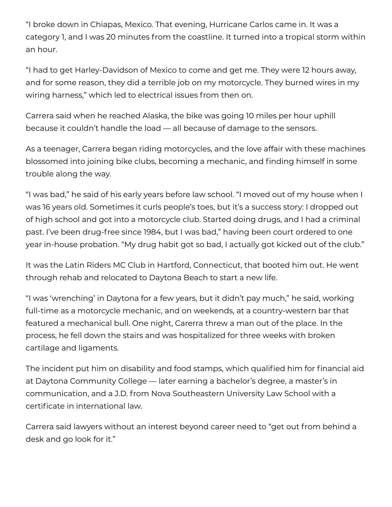"I broke down in Chiapas, Mexico. That evening, Hurricane Carlos came in. It was a category 1, and I was 20 minutes from the coastline. It turned into a tropical storm within an hour.

"I had to get Harley-Davidson of Mexico to come and get me. They were 12 hours away, and for some reason, they did a terrible job on my motorcycle. They burned wires in my wiring harness," which led to electrical issues from then on.

Carrera said when he reached Alaska, the bike was going 10 miles per hour uphill because it couldn't handle the load — all because of damage to the sensors.

As a teenager, Carrera began riding motorcycles, and the love affair with these machines blossomed into joining bike clubs, becoming a mechanic, and finding himself in some trouble along the way.

"I was bad," he said of his early years before law school. "I moved out of my house when I was 16 years old. Sometimes it curls people's toes, but it's a success story: I dropped out of high school and got into a motorcycle club. Started doing drugs, and I had a criminal past. I've been drug-free since 1984, but I was bad," having been court ordered to one year in-house probation. "My drug habit got so bad, I actually got kicked out of the club."

It was the Latin Riders MC Club in Hartford, Connecticut, that booted him out. He went through rehab and relocated to Daytona Beach to start a new life.

"I was 'wrenching' in Daytona for a few years, but it didn't pay much," he said, working full-time as a motorcycle mechanic, and on weekends, at a country-western bar that featured a mechanical bull. One night, Carerra threw a man out of the place. In the process, he fell down the stairs and was hospitalized for three weeks with broken cartilage and ligaments.

The incident put him on disability and food stamps, which qualified him for financial aid at Daytona Community College — later earning a bachelor's degree, a master's in communication, and a J.D. from Nova Southeastern University Law School with a certificate in international law.

Carrera said lawyers without an interest beyond career need to "get out from behind a desk and go look for it."